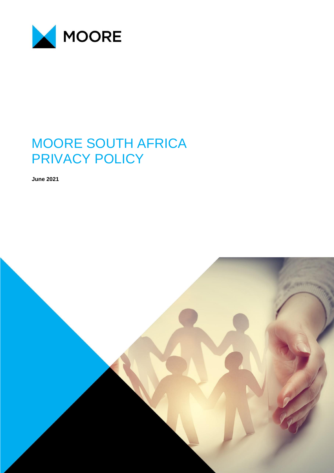

# MOORE SOUTH AFRICA PRIVACY POLICY

**June 2021**

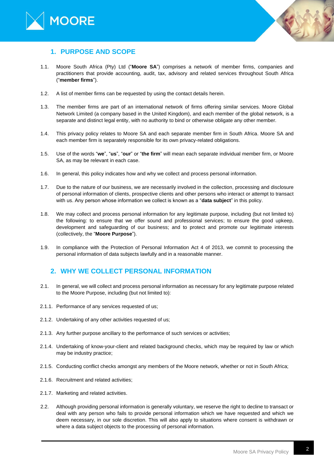



### **1. PURPOSE AND SCOPE**

- 1.1. Moore South Africa (Pty) Ltd ("**Moore SA**") comprises a network of member firms, companies and practitioners that provide accounting, audit, tax, advisory and related services throughout South Africa ("**member firms**").
- 1.2. A list of member firms can be requested by using the contact details herein.
- 1.3. The member firms are part of an international network of firms offering similar services. Moore Global Network Limited (a company based in the United Kingdom), and each member of the global network, is a separate and distinct legal entity, with no authority to bind or otherwise obligate any other member.
- 1.4. This privacy policy relates to Moore SA and each separate member firm in South Africa. Moore SA and each member firm is separately responsible for its own privacy-related obligations.
- 1.5. Use of the words "**we**", "**us**", "**our**" or "**the firm**" will mean each separate individual member firm, or Moore SA, as may be relevant in each case.
- 1.6. In general, this policy indicates how and why we collect and process personal information.
- 1.7. Due to the nature of our business, we are necessarily involved in the collection, processing and disclosure of personal information of clients, prospective clients and other persons who interact or attempt to transact with us. Any person whose information we collect is known as a "**data subject**" in this policy.
- 1.8. We may collect and process personal information for any legitimate purpose, including (but not limited to) the following: to ensure that we offer sound and professional services; to ensure the good upkeep, development and safeguarding of our business; and to protect and promote our legitimate interests (collectively, the "**Moore Purpose**").
- 1.9. In compliance with the Protection of Personal Information Act 4 of 2013, we commit to processing the personal information of data subjects lawfully and in a reasonable manner.

## **2. WHY WE COLLECT PERSONAL INFORMATION**

- 2.1. In general, we will collect and process personal information as necessary for any legitimate purpose related to the Moore Purpose, including (but not limited to):
- 2.1.1. Performance of any services requested of us;
- 2.1.2. Undertaking of any other activities requested of us;
- 2.1.3. Any further purpose ancillary to the performance of such services or activities;
- 2.1.4. Undertaking of know-your-client and related background checks, which may be required by law or which may be industry practice;
- 2.1.5. Conducting conflict checks amongst any members of the Moore network, whether or not in South Africa;
- 2.1.6. Recruitment and related activities;
- 2.1.7. Marketing and related activities.
- 2.2. Although providing personal information is generally voluntary, we reserve the right to decline to transact or deal with any person who fails to provide personal information which we have requested and which we deem necessary, in our sole discretion. This will also apply to situations where consent is withdrawn or where a data subject objects to the processing of personal information.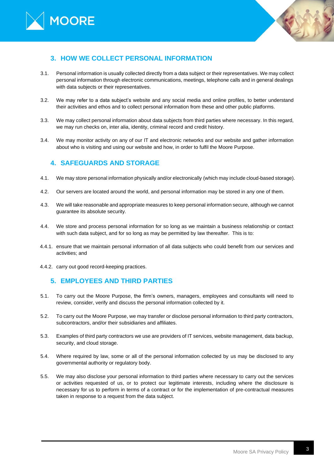



# **3. HOW WE COLLECT PERSONAL INFORMATION**

- 3.1. Personal information is usually collected directly from a data subject or their representatives. We may collect personal information through electronic communications, meetings, telephone calls and in general dealings with data subjects or their representatives.
- 3.2. We may refer to a data subject's website and any social media and online profiles, to better understand their activities and ethos and to collect personal information from these and other public platforms.
- 3.3. We may collect personal information about data subjects from third parties where necessary. In this regard, we may run checks on, inter alia, identity, criminal record and credit history.
- 3.4. We may monitor activity on any of our IT and electronic networks and our website and gather information about who is visiting and using our website and how, in order to fulfil the Moore Purpose.

## **4. SAFEGUARDS AND STORAGE**

- 4.1. We may store personal information physically and/or electronically (which may include cloud-based storage).
- 4.2. Our servers are located around the world, and personal information may be stored in any one of them.
- 4.3. We will take reasonable and appropriate measures to keep personal information secure, although we cannot guarantee its absolute security.
- 4.4. We store and process personal information for so long as we maintain a business relationship or contact with such data subject, and for so long as may be permitted by law thereafter. This is to:
- 4.4.1. ensure that we maintain personal information of all data subjects who could benefit from our services and activities; and
- 4.4.2. carry out good record-keeping practices.

## **5. EMPLOYEES AND THIRD PARTIES**

- 5.1. To carry out the Moore Purpose, the firm's owners, managers, employees and consultants will need to review, consider, verify and discuss the personal information collected by it.
- 5.2. To carry out the Moore Purpose, we may transfer or disclose personal information to third party contractors, subcontractors, and/or their subsidiaries and affiliates.
- 5.3. Examples of third party contractors we use are providers of IT services, website management, data backup, security, and cloud storage.
- 5.4. Where required by law, some or all of the personal information collected by us may be disclosed to any governmental authority or regulatory body.
- 5.5. We may also disclose your personal information to third parties where necessary to carry out the services or activities requested of us, or to protect our legitimate interests, including where the disclosure is necessary for us to perform in terms of a contract or for the implementation of pre-contractual measures taken in response to a request from the data subject.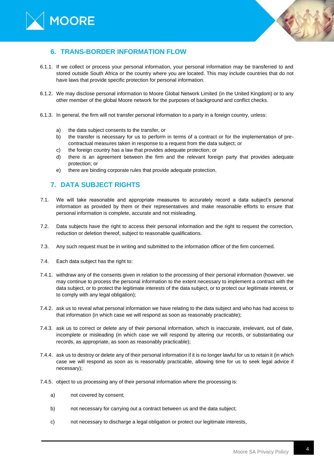



## **6. TRANS-BORDER INFORMATION FLOW**

- 6.1.1. If we collect or process your personal information, your personal information may be transferred to and stored outside South Africa or the country where you are located. This may include countries that do not have laws that provide specific protection for personal information.
- 6.1.2. We may disclose personal information to Moore Global Network Limited (in the United Kingdom) or to any other member of the global Moore network for the purposes of background and conflict checks.
- 6.1.3. In general, the firm will not transfer personal information to a party in a foreign country, unless:
	- a) the data subject consents to the transfer, or
	- b) the transfer is necessary for us to perform in terms of a contract or for the implementation of precontractual measures taken in response to a request from the data subject; or
	- c) the foreign country has a law that provides adequate protection; or
	- d) there is an agreement between the firm and the relevant foreign party that provides adequate protection; or
	- e) there are binding corporate rules that provide adequate protection.

## **7. DATA SUBJECT RIGHTS**

- 7.1. We will take reasonable and appropriate measures to accurately record a data subject's personal information as provided by them or their representatives and make reasonable efforts to ensure that personal information is complete, accurate and not misleading.
- 7.2. Data subjects have the right to access their personal information and the right to request the correction, reduction or deletion thereof, subject to reasonable qualifications.
- 7.3. Any such request must be in writing and submitted to the information officer of the firm concerned.
- 7.4. Each data subject has the right to:
- 7.4.1. withdraw any of the consents given in relation to the processing of their personal information (however, we may continue to process the personal information to the extent necessary to implement a contract with the data subject, or to protect the legitimate interests of the data subject, or to protect our legitimate interest, or to comply with any legal obligation);
- 7.4.2. ask us to reveal what personal information we have relating to the data subject and who has had access to that information (in which case we will respond as soon as reasonably practicable);
- 7.4.3. ask us to correct or delete any of their personal information, which is inaccurate, irrelevant, out of date, incomplete or misleading (in which case we will respond by altering our records, or substantiating our records, as appropriate, as soon as reasonably practicable);
- 7.4.4. ask us to destroy or delete any of their personal information if it is no longer lawful for us to retain it (in which case we will respond as soon as is reasonably practicable, allowing time for us to seek legal advice if necessary);
- 7.4.5. object to us processing any of their personal information where the processing is:
	- a) not covered by consent;
	- b) not necessary for carrying out a contract between us and the data subject;
	- c) not necessary to discharge a legal obligation or protect our legitimate interests,